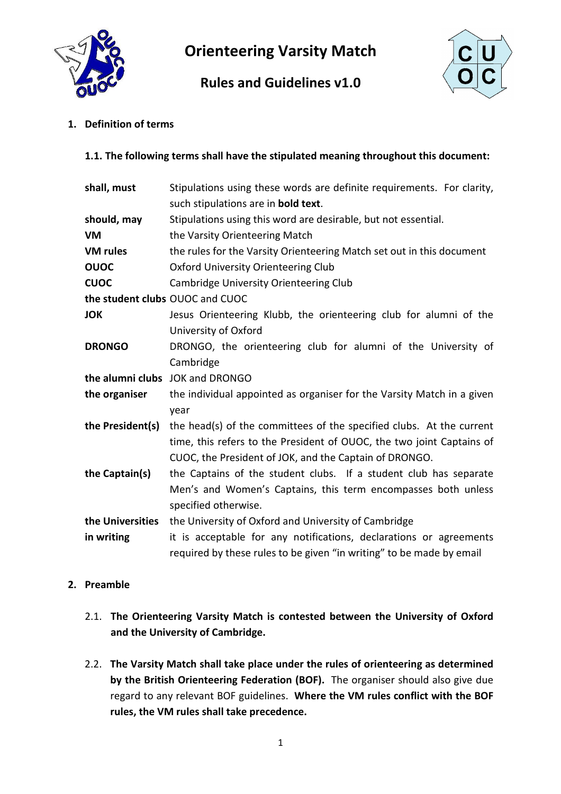

Orienteering Varsity Match

# Rules and Guidelines v1.0



1. Definition of terms

# 1.1. The following terms shall have the stipulated meaning throughout this document:

| shall, must                     | Stipulations using these words are definite requirements. For clarity, |  |  |  |
|---------------------------------|------------------------------------------------------------------------|--|--|--|
|                                 | such stipulations are in <b>bold text</b> .                            |  |  |  |
| should, may                     | Stipulations using this word are desirable, but not essential.         |  |  |  |
| <b>VM</b>                       | the Varsity Orienteering Match                                         |  |  |  |
| <b>VM rules</b>                 | the rules for the Varsity Orienteering Match set out in this document  |  |  |  |
| <b>OUOC</b>                     | Oxford University Orienteering Club                                    |  |  |  |
| <b>CUOC</b>                     | Cambridge University Orienteering Club                                 |  |  |  |
| the student clubs OUOC and CUOC |                                                                        |  |  |  |
| <b>JOK</b>                      | Jesus Orienteering Klubb, the orienteering club for alumni of the      |  |  |  |
|                                 | University of Oxford                                                   |  |  |  |
| <b>DRONGO</b>                   | DRONGO, the orienteering club for alumni of the University of          |  |  |  |
|                                 | Cambridge                                                              |  |  |  |
|                                 | the alumni clubs JOK and DRONGO                                        |  |  |  |
| the organiser                   | the individual appointed as organiser for the Varsity Match in a given |  |  |  |
|                                 | year                                                                   |  |  |  |
| the President(s)                | the head(s) of the committees of the specified clubs. At the current   |  |  |  |
|                                 | time, this refers to the President of OUOC, the two joint Captains of  |  |  |  |
|                                 | CUOC, the President of JOK, and the Captain of DRONGO.                 |  |  |  |
| the Captain(s)                  | the Captains of the student clubs. If a student club has separate      |  |  |  |
|                                 | Men's and Women's Captains, this term encompasses both unless          |  |  |  |
|                                 | specified otherwise.                                                   |  |  |  |
| the Universities                | the University of Oxford and University of Cambridge                   |  |  |  |
| in writing                      | it is acceptable for any notifications, declarations or agreements     |  |  |  |
|                                 | required by these rules to be given "in writing" to be made by email   |  |  |  |

# 2. Preamble

- 2.1. The Orienteering Varsity Match is contested between the University of Oxford and the University of Cambridge.
- 2.2. The Varsity Match shall take place under the rules of orienteering as determined by the British Orienteering Federation (BOF). The organiser should also give due regard to any relevant BOF guidelines. Where the VM rules conflict with the BOF rules, the VM rules shall take precedence.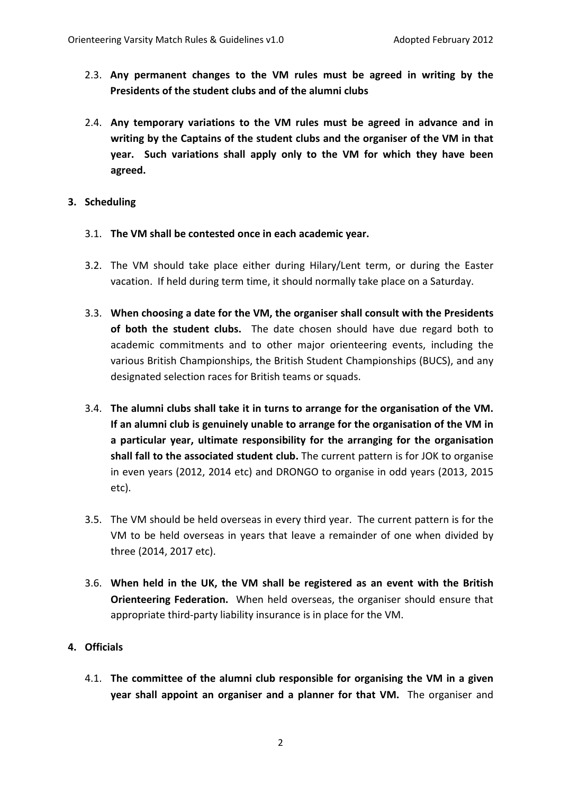- 2.3. Any permanent changes to the VM rules must be agreed in writing by the Presidents of the student clubs and of the alumni clubs
- 2.4. Any temporary variations to the VM rules must be agreed in advance and in writing by the Captains of the student clubs and the organiser of the VM in that year. Such variations shall apply only to the VM for which they have been agreed.

# 3. Scheduling

- 3.1. The VM shall be contested once in each academic year.
- 3.2. The VM should take place either during Hilary/Lent term, or during the Easter vacation. If held during term time, it should normally take place on a Saturday.
- 3.3. When choosing a date for the VM, the organiser shall consult with the Presidents of both the student clubs. The date chosen should have due regard both to academic commitments and to other major orienteering events, including the various British Championships, the British Student Championships (BUCS), and any designated selection races for British teams or squads.
- 3.4. The alumni clubs shall take it in turns to arrange for the organisation of the VM. If an alumni club is genuinely unable to arrange for the organisation of the VM in a particular year, ultimate responsibility for the arranging for the organisation shall fall to the associated student club. The current pattern is for JOK to organise in even years (2012, 2014 etc) and DRONGO to organise in odd years (2013, 2015 etc).
- 3.5. The VM should be held overseas in every third year. The current pattern is for the VM to be held overseas in years that leave a remainder of one when divided by three (2014, 2017 etc).
- 3.6. When held in the UK, the VM shall be registered as an event with the British Orienteering Federation. When held overseas, the organiser should ensure that appropriate third-party liability insurance is in place for the VM.

# 4. Officials

4.1. The committee of the alumni club responsible for organising the VM in a given year shall appoint an organiser and a planner for that VM. The organiser and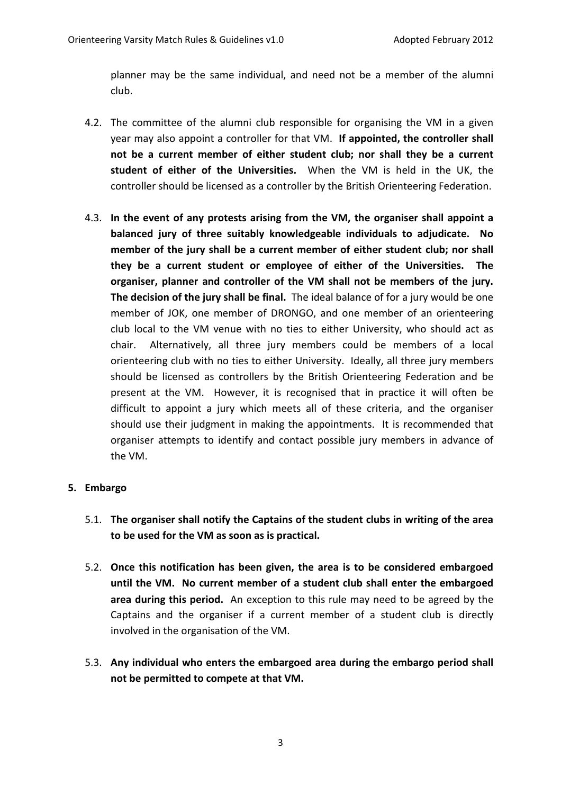planner may be the same individual, and need not be a member of the alumni club.

- 4.2. The committee of the alumni club responsible for organising the VM in a given year may also appoint a controller for that VM. If appointed, the controller shall not be a current member of either student club; nor shall they be a current student of either of the Universities. When the VM is held in the UK, the controller should be licensed as a controller by the British Orienteering Federation.
- 4.3. In the event of any protests arising from the VM, the organiser shall appoint a balanced jury of three suitably knowledgeable individuals to adjudicate. No member of the jury shall be a current member of either student club; nor shall they be a current student or employee of either of the Universities. The organiser, planner and controller of the VM shall not be members of the jury. The decision of the jury shall be final. The ideal balance of for a jury would be one member of JOK, one member of DRONGO, and one member of an orienteering club local to the VM venue with no ties to either University, who should act as chair. Alternatively, all three jury members could be members of a local orienteering club with no ties to either University. Ideally, all three jury members should be licensed as controllers by the British Orienteering Federation and be present at the VM. However, it is recognised that in practice it will often be difficult to appoint a jury which meets all of these criteria, and the organiser should use their judgment in making the appointments. It is recommended that organiser attempts to identify and contact possible jury members in advance of the VM.

#### 5. Embargo

- 5.1. The organiser shall notify the Captains of the student clubs in writing of the area to be used for the VM as soon as is practical.
- 5.2. Once this notification has been given, the area is to be considered embargoed until the VM. No current member of a student club shall enter the embargoed area during this period. An exception to this rule may need to be agreed by the Captains and the organiser if a current member of a student club is directly involved in the organisation of the VM.
- 5.3. Any individual who enters the embargoed area during the embargo period shall not be permitted to compete at that VM.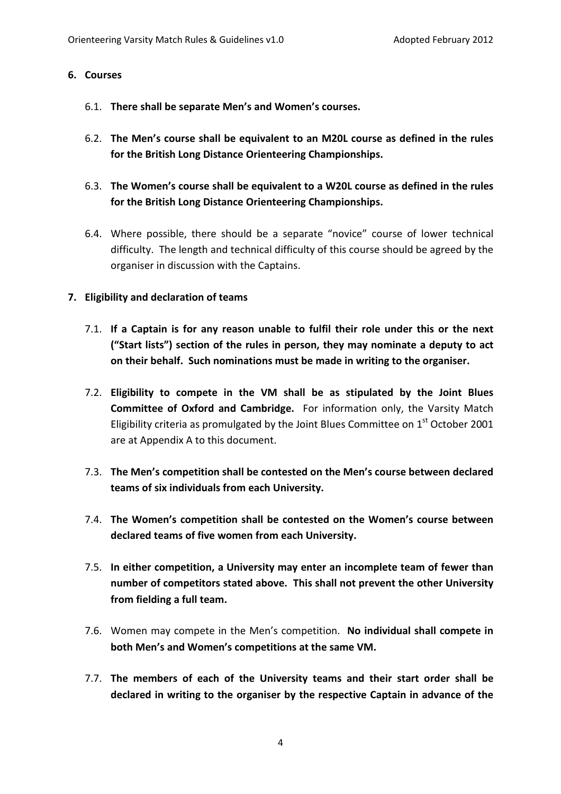#### 6. Courses

- 6.1. There shall be separate Men's and Women's courses.
- 6.2. The Men's course shall be equivalent to an M20L course as defined in the rules for the British Long Distance Orienteering Championships.
- 6.3. The Women's course shall be equivalent to a W20L course as defined in the rules for the British Long Distance Orienteering Championships.
- 6.4. Where possible, there should be a separate "novice" course of lower technical difficulty. The length and technical difficulty of this course should be agreed by the organiser in discussion with the Captains.

#### 7. Eligibility and declaration of teams

- 7.1. If a Captain is for any reason unable to fulfil their role under this or the next ("Start lists") section of the rules in person, they may nominate a deputy to act on their behalf. Such nominations must be made in writing to the organiser.
- 7.2. Eligibility to compete in the VM shall be as stipulated by the Joint Blues Committee of Oxford and Cambridge. For information only, the Varsity Match Eligibility criteria as promulgated by the Joint Blues Committee on  $1<sup>st</sup>$  October 2001 are at Appendix A to this document.
- 7.3. The Men's competition shall be contested on the Men's course between declared teams of six individuals from each University.
- 7.4. The Women's competition shall be contested on the Women's course between declared teams of five women from each University.
- 7.5. In either competition, a University may enter an incomplete team of fewer than number of competitors stated above. This shall not prevent the other University from fielding a full team.
- 7.6. Women may compete in the Men's competition. No individual shall compete in both Men's and Women's competitions at the same VM.
- 7.7. The members of each of the University teams and their start order shall be declared in writing to the organiser by the respective Captain in advance of the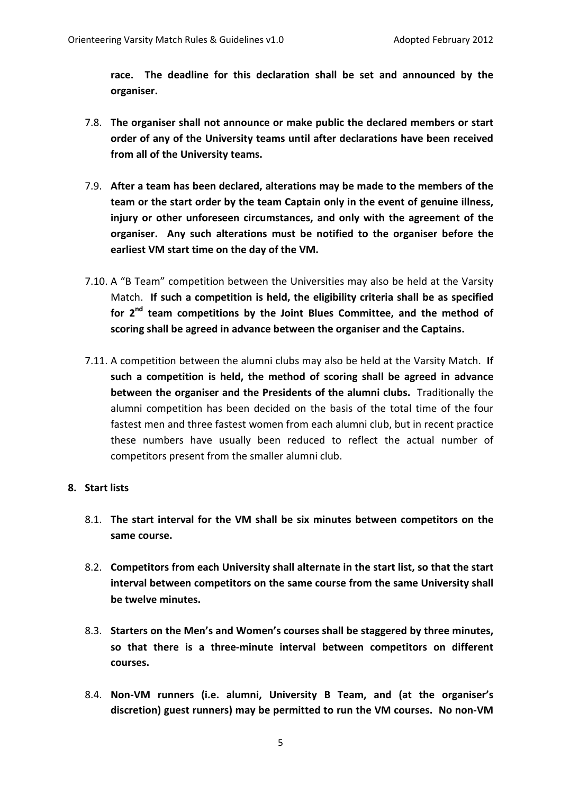race. The deadline for this declaration shall be set and announced by the organiser.

- 7.8. The organiser shall not announce or make public the declared members or start order of any of the University teams until after declarations have been received from all of the University teams.
- 7.9. After a team has been declared, alterations may be made to the members of the team or the start order by the team Captain only in the event of genuine illness, injury or other unforeseen circumstances, and only with the agreement of the organiser. Any such alterations must be notified to the organiser before the earliest VM start time on the day of the VM.
- 7.10. A "B Team" competition between the Universities may also be held at the Varsity Match. If such a competition is held, the eligibility criteria shall be as specified for  $2^{nd}$  team competitions by the Joint Blues Committee, and the method of scoring shall be agreed in advance between the organiser and the Captains.
- 7.11. A competition between the alumni clubs may also be held at the Varsity Match. If such a competition is held, the method of scoring shall be agreed in advance between the organiser and the Presidents of the alumni clubs. Traditionally the alumni competition has been decided on the basis of the total time of the four fastest men and three fastest women from each alumni club, but in recent practice these numbers have usually been reduced to reflect the actual number of competitors present from the smaller alumni club.

#### 8. Start lists

- 8.1. The start interval for the VM shall be six minutes between competitors on the same course.
- 8.2. Competitors from each University shall alternate in the start list, so that the start interval between competitors on the same course from the same University shall be twelve minutes.
- 8.3. Starters on the Men's and Women's courses shall be staggered by three minutes, so that there is a three-minute interval between competitors on different courses.
- 8.4. Non-VM runners (i.e. alumni, University B Team, and (at the organiser's discretion) guest runners) may be permitted to run the VM courses. No non-VM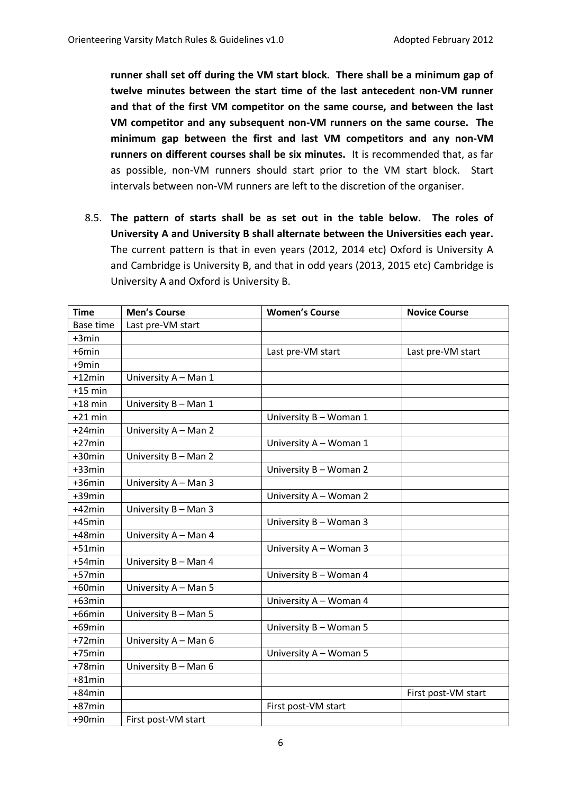runner shall set off during the VM start block. There shall be a minimum gap of twelve minutes between the start time of the last antecedent non-VM runner and that of the first VM competitor on the same course, and between the last VM competitor and any subsequent non-VM runners on the same course. The minimum gap between the first and last VM competitors and any non-VM runners on different courses shall be six minutes. It is recommended that, as far as possible, non-VM runners should start prior to the VM start block. Start intervals between non-VM runners are left to the discretion of the organiser.

8.5. The pattern of starts shall be as set out in the table below. The roles of University A and University B shall alternate between the Universities each year. The current pattern is that in even years (2012, 2014 etc) Oxford is University A and Cambridge is University B, and that in odd years (2013, 2015 etc) Cambridge is University A and Oxford is University B.

| <b>Time</b>      | <b>Men's Course</b>  | <b>Women's Course</b>  | <b>Novice Course</b> |
|------------------|----------------------|------------------------|----------------------|
| <b>Base time</b> | Last pre-VM start    |                        |                      |
| $+3min$          |                      |                        |                      |
| +6min            |                      | Last pre-VM start      | Last pre-VM start    |
| +9min            |                      |                        |                      |
| $+12$ min        | University A - Man 1 |                        |                      |
| $+15$ min        |                      |                        |                      |
| $+18$ min        | University B - Man 1 |                        |                      |
| $+21$ min        |                      | University B - Woman 1 |                      |
| $+24$ min        | University A - Man 2 |                        |                      |
| $+27$ min        |                      | University A - Woman 1 |                      |
| $+30$ min        | University B - Man 2 |                        |                      |
| $+33$ min        |                      | University B - Woman 2 |                      |
| $+36$ min        | University A - Man 3 |                        |                      |
| +39min           |                      | University A - Woman 2 |                      |
| $+42$ min        | University B - Man 3 |                        |                      |
| $+45$ min        |                      | University B - Woman 3 |                      |
| $+48$ min        | University A - Man 4 |                        |                      |
| $+51$ min        |                      | University A - Woman 3 |                      |
| $+54$ min        | University B - Man 4 |                        |                      |
| $+57$ min        |                      | University B - Woman 4 |                      |
| $+60$ min        | University A - Man 5 |                        |                      |
| $+63$ min        |                      | University A - Woman 4 |                      |
| $+66$ min        | University B - Man 5 |                        |                      |
| $+69$ min        |                      | University B - Woman 5 |                      |
| $+72$ min        | University A - Man 6 |                        |                      |
| $+75$ min        |                      | University A - Woman 5 |                      |
| $+78$ min        | University B - Man 6 |                        |                      |
| $+81$ min        |                      |                        |                      |
| $+84$ min        |                      |                        | First post-VM start  |
| $+87$ min        |                      | First post-VM start    |                      |
| +90min           | First post-VM start  |                        |                      |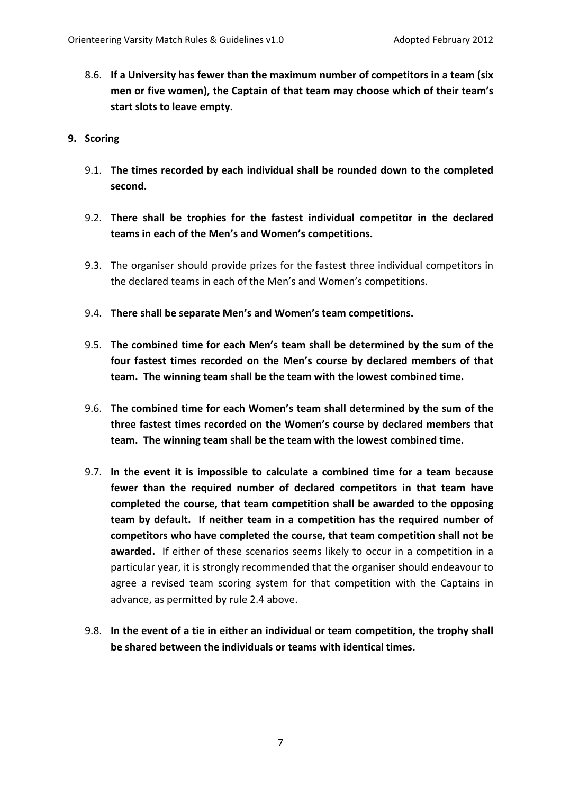- 8.6. If a University has fewer than the maximum number of competitors in a team (six men or five women), the Captain of that team may choose which of their team's start slots to leave empty.
- 9. Scoring
	- 9.1. The times recorded by each individual shall be rounded down to the completed second.
	- 9.2. There shall be trophies for the fastest individual competitor in the declared teams in each of the Men's and Women's competitions.
	- 9.3. The organiser should provide prizes for the fastest three individual competitors in the declared teams in each of the Men's and Women's competitions.
	- 9.4. There shall be separate Men's and Women's team competitions.
	- 9.5. The combined time for each Men's team shall be determined by the sum of the four fastest times recorded on the Men's course by declared members of that team. The winning team shall be the team with the lowest combined time.
	- 9.6. The combined time for each Women's team shall determined by the sum of the three fastest times recorded on the Women's course by declared members that team. The winning team shall be the team with the lowest combined time.
	- 9.7. In the event it is impossible to calculate a combined time for a team because fewer than the required number of declared competitors in that team have completed the course, that team competition shall be awarded to the opposing team by default. If neither team in a competition has the required number of competitors who have completed the course, that team competition shall not be awarded. If either of these scenarios seems likely to occur in a competition in a particular year, it is strongly recommended that the organiser should endeavour to agree a revised team scoring system for that competition with the Captains in advance, as permitted by rule 2.4 above.
	- 9.8. In the event of a tie in either an individual or team competition, the trophy shall be shared between the individuals or teams with identical times.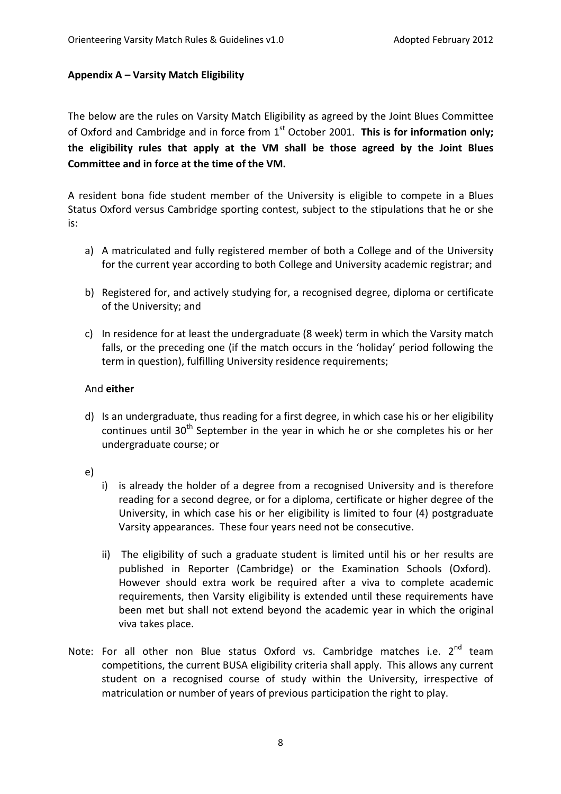#### Appendix A – Varsity Match Eligibility

The below are the rules on Varsity Match Eligibility as agreed by the Joint Blues Committee of Oxford and Cambridge and in force from  $1<sup>st</sup>$  October 2001. This is for information only; the eligibility rules that apply at the VM shall be those agreed by the Joint Blues Committee and in force at the time of the VM.

A resident bona fide student member of the University is eligible to compete in a Blues Status Oxford versus Cambridge sporting contest, subject to the stipulations that he or she is:

- a) A matriculated and fully registered member of both a College and of the University for the current year according to both College and University academic registrar; and
- b) Registered for, and actively studying for, a recognised degree, diploma or certificate of the University; and
- c) In residence for at least the undergraduate (8 week) term in which the Varsity match falls, or the preceding one (if the match occurs in the 'holiday' period following the term in question), fulfilling University residence requirements;

#### And either

- d) Is an undergraduate, thus reading for a first degree, in which case his or her eligibility continues until  $30<sup>th</sup>$  September in the year in which he or she completes his or her undergraduate course; or
- e)
- i) is already the holder of a degree from a recognised University and is therefore reading for a second degree, or for a diploma, certificate or higher degree of the University, in which case his or her eligibility is limited to four (4) postgraduate Varsity appearances. These four years need not be consecutive.
- ii) The eligibility of such a graduate student is limited until his or her results are published in Reporter (Cambridge) or the Examination Schools (Oxford). However should extra work be required after a viva to complete academic requirements, then Varsity eligibility is extended until these requirements have been met but shall not extend beyond the academic year in which the original viva takes place.
- Note: For all other non Blue status Oxford vs. Cambridge matches i.e.  $2^{nd}$  team competitions, the current BUSA eligibility criteria shall apply. This allows any current student on a recognised course of study within the University, irrespective of matriculation or number of years of previous participation the right to play.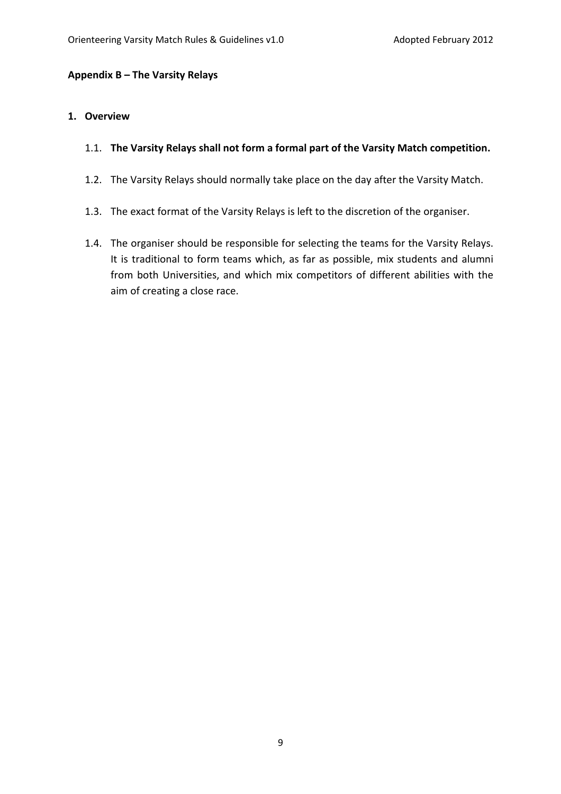#### Appendix B – The Varsity Relays

#### 1. Overview

- 1.1. The Varsity Relays shall not form a formal part of the Varsity Match competition.
- 1.2. The Varsity Relays should normally take place on the day after the Varsity Match.
- 1.3. The exact format of the Varsity Relays is left to the discretion of the organiser.
- 1.4. The organiser should be responsible for selecting the teams for the Varsity Relays. It is traditional to form teams which, as far as possible, mix students and alumni from both Universities, and which mix competitors of different abilities with the aim of creating a close race.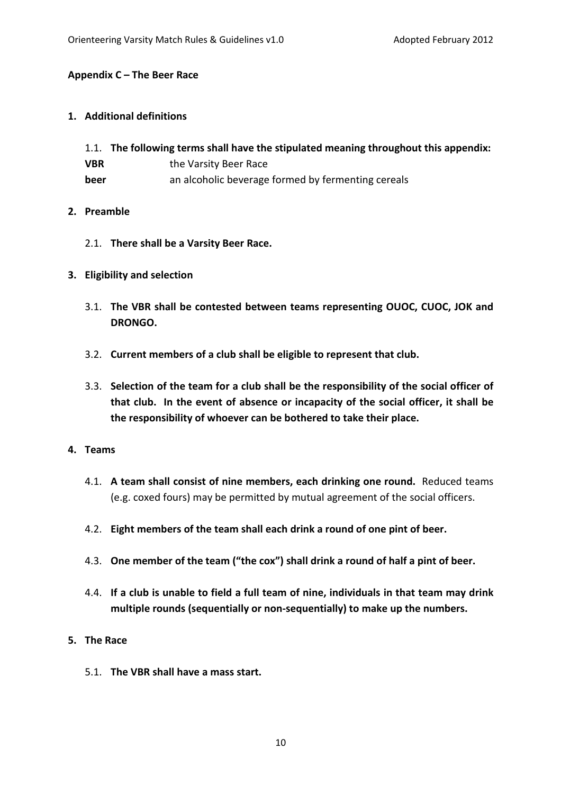#### Appendix C – The Beer Race

#### 1. Additional definitions

- 1.1. The following terms shall have the stipulated meaning throughout this appendix: **VBR** the Varsity Beer Race
- **beer** an alcoholic beverage formed by fermenting cereals

#### 2. Preamble

- 2.1. There shall be a Varsity Beer Race.
- 3. Eligibility and selection
	- 3.1. The VBR shall be contested between teams representing OUOC, CUOC, JOK and DRONGO.
	- 3.2. Current members of a club shall be eligible to represent that club.
	- 3.3. Selection of the team for a club shall be the responsibility of the social officer of that club. In the event of absence or incapacity of the social officer, it shall be the responsibility of whoever can be bothered to take their place.

#### 4. Teams

- 4.1. A team shall consist of nine members, each drinking one round. Reduced teams (e.g. coxed fours) may be permitted by mutual agreement of the social officers.
- 4.2. Eight members of the team shall each drink a round of one pint of beer.
- 4.3. One member of the team ("the cox") shall drink a round of half a pint of beer.
- 4.4. If a club is unable to field a full team of nine, individuals in that team may drink multiple rounds (sequentially or non-sequentially) to make up the numbers.
- 5. The Race
	- 5.1. The VBR shall have a mass start.